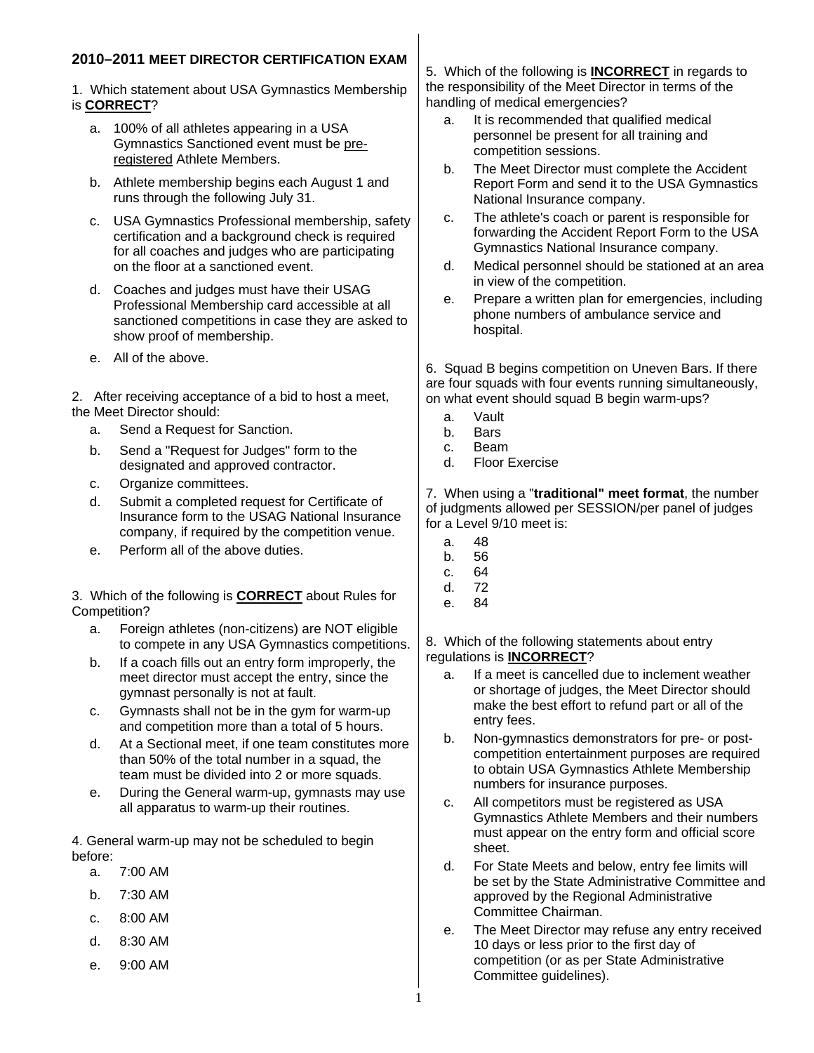# **2010–2011 MEET DIRECTOR CERTIFICATION EXAM**

- 1. Which statement about USA Gymnastics Membership is **CORRECT**?
	- a. 100% of all athletes appearing in a USA Gymnastics Sanctioned event must be preregistered Athlete Members.
	- b. Athlete membership begins each August 1 and runs through the following July 31.
	- c. USA Gymnastics Professional membership, safety certification and a background check is required for all coaches and judges who are participating on the floor at a sanctioned event.
	- d. Coaches and judges must have their USAG Professional Membership card accessible at all sanctioned competitions in case they are asked to show proof of membership.
	- e. All of the above.

2. After receiving acceptance of a bid to host a meet, the Meet Director should:

- a. Send a Request for Sanction.
- b. Send a "Request for Judges" form to the designated and approved contractor.
- c. Organize committees.
- d. Submit a completed request for Certificate of Insurance form to the USAG National Insurance company, if required by the competition venue.
- e. Perform all of the above duties.

3. Which of the following is **CORRECT** about Rules for Competition?

- a. Foreign athletes (non-citizens) are NOT eligible to compete in any USA Gymnastics competitions.
- b. If a coach fills out an entry form improperly, the meet director must accept the entry, since the gymnast personally is not at fault.
- c. Gymnasts shall not be in the gym for warm-up and competition more than a total of 5 hours.
- d. At a Sectional meet, if one team constitutes more than 50% of the total number in a squad, the team must be divided into 2 or more squads.
- e. During the General warm-up, gymnasts may use all apparatus to warm-up their routines.

4. General warm-up may not be scheduled to begin before:

- a. 7:00 AM
- b. 7:30 AM
- c. 8:00 AM
- d. 8:30 AM
- e. 9:00 AM

5. Which of the following is **INCORRECT** in regards to the responsibility of the Meet Director in terms of the handling of medical emergencies?

- a. It is recommended that qualified medical personnel be present for all training and competition sessions.
- b. The Meet Director must complete the Accident Report Form and send it to the USA Gymnastics National Insurance company.
- c. The athlete's coach or parent is responsible for forwarding the Accident Report Form to the USA Gymnastics National Insurance company.
- d. Medical personnel should be stationed at an area in view of the competition.
- e. Prepare a written plan for emergencies, including phone numbers of ambulance service and hospital.

6. Squad B begins competition on Uneven Bars. If there are four squads with four events running simultaneously, on what event should squad B begin warm-ups?

- a. Vault
- b. Bars
- c. Beam
- d. Floor Exercise

7. When using a "**traditional" meet format**, the number of judgments allowed per SESSION/per panel of judges for a Level 9/10 meet is:

- a. 48
- b. 56
- c. 64 d. 72
- e. 84

8. Which of the following statements about entry regulations is **INCORRECT**?

- a. If a meet is cancelled due to inclement weather or shortage of judges, the Meet Director should make the best effort to refund part or all of the entry fees.
- b. Non-gymnastics demonstrators for pre- or postcompetition entertainment purposes are required to obtain USA Gymnastics Athlete Membership numbers for insurance purposes.
- c. All competitors must be registered as USA Gymnastics Athlete Members and their numbers must appear on the entry form and official score sheet.
- d. For State Meets and below, entry fee limits will be set by the State Administrative Committee and approved by the Regional Administrative Committee Chairman.
- e. The Meet Director may refuse any entry received 10 days or less prior to the first day of competition (or as per State Administrative Committee guidelines).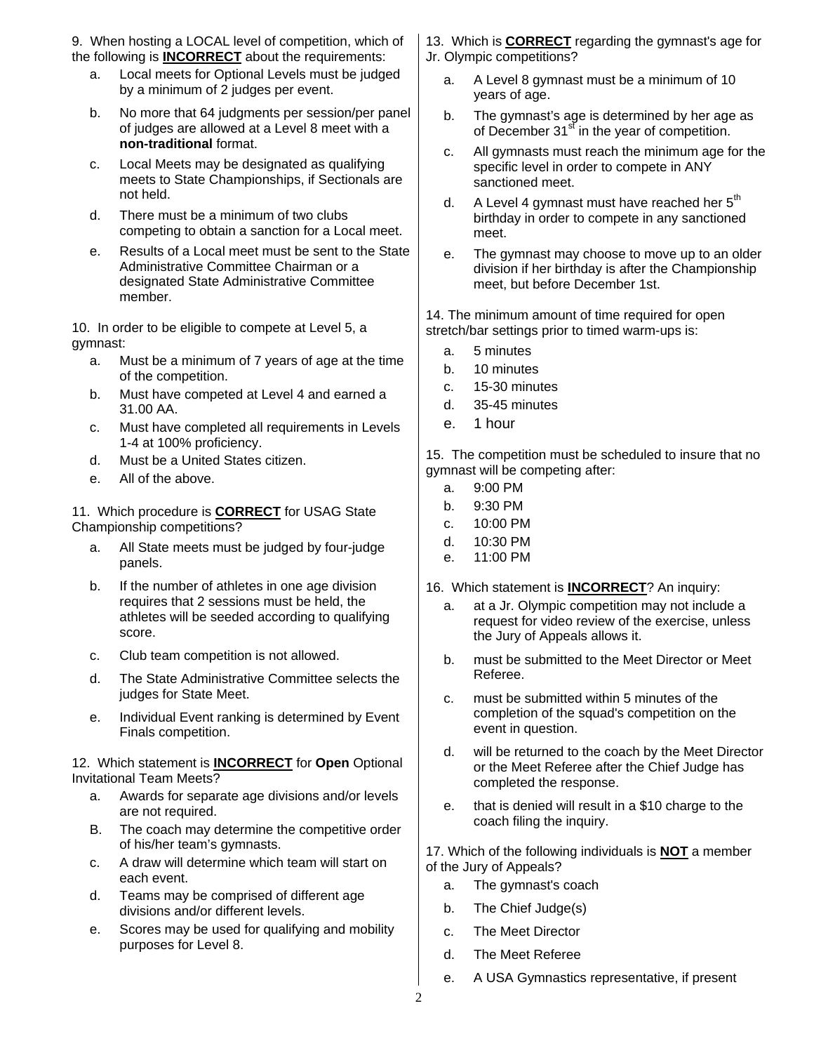9. When hosting a LOCAL level of competition, which of the following is **INCORRECT** about the requirements:

- a. Local meets for Optional Levels must be judged by a minimum of 2 judges per event.
- b. No more that 64 judgments per session/per panel of judges are allowed at a Level 8 meet with a **non-traditional** format.
- c. Local Meets may be designated as qualifying meets to State Championships, if Sectionals are not held.
- d. There must be a minimum of two clubs competing to obtain a sanction for a Local meet.
- e. Results of a Local meet must be sent to the State Administrative Committee Chairman or a designated State Administrative Committee member.

10. In order to be eligible to compete at Level 5, a gymnast:

- a. Must be a minimum of 7 years of age at the time of the competition.
- b. Must have competed at Level 4 and earned a 31.00 AA.
- c. Must have completed all requirements in Levels 1-4 at 100% proficiency.
- d. Must be a United States citizen.
- e. All of the above.

11. Which procedure is **CORRECT** for USAG State Championship competitions?

- a. All State meets must be judged by four-judge panels.
- b. If the number of athletes in one age division requires that 2 sessions must be held, the athletes will be seeded according to qualifying score.
- c. Club team competition is not allowed.
- d. The State Administrative Committee selects the judges for State Meet.
- e. Individual Event ranking is determined by Event Finals competition.

### 12. Which statement is **INCORRECT** for **Open** Optional Invitational Team Meets?

- a. Awards for separate age divisions and/or levels are not required.
- B. The coach may determine the competitive order of his/her team's gymnasts.
- c. A draw will determine which team will start on each event.
- d. Teams may be comprised of different age divisions and/or different levels.
- e. Scores may be used for qualifying and mobility purposes for Level 8.

13. Which is **CORRECT** regarding the gymnast's age for Jr. Olympic competitions?

- a. A Level 8 gymnast must be a minimum of 10 years of age.
- b. The gymnast's age is determined by her age as of December 31<sup>st</sup> in the year of competition.
- c. All gymnasts must reach the minimum age for the specific level in order to compete in ANY sanctioned meet.
- d. A Level 4 gymnast must have reached her  $5<sup>th</sup>$ birthday in order to compete in any sanctioned meet.
- e. The gymnast may choose to move up to an older division if her birthday is after the Championship meet, but before December 1st.

14. The minimum amount of time required for open stretch/bar settings prior to timed warm-ups is:

- a. 5 minutes
- b. 10 minutes
- c. 15-30 minutes
- d. 35-45 minutes
- e. 1 hour

15. The competition must be scheduled to insure that no gymnast will be competing after:

- a. 9:00 PM
- b. 9:30 PM
- c. 10:00 PM
- d. 10:30 PM
- e. 11:00 PM

16. Which statement is **INCORRECT**? An inquiry:

- a. at a Jr. Olympic competition may not include a request for video review of the exercise, unless the Jury of Appeals allows it.
- b. must be submitted to the Meet Director or Meet Referee.
- c. must be submitted within 5 minutes of the completion of the squad's competition on the event in question.
- d. will be returned to the coach by the Meet Director or the Meet Referee after the Chief Judge has completed the response.
- e. that is denied will result in a \$10 charge to the coach filing the inquiry.

17. Which of the following individuals is **NOT** a member of the Jury of Appeals?

- a. The gymnast's coach
- b. The Chief Judge(s)
- c. The Meet Director
- d. The Meet Referee
- e. A USA Gymnastics representative, if present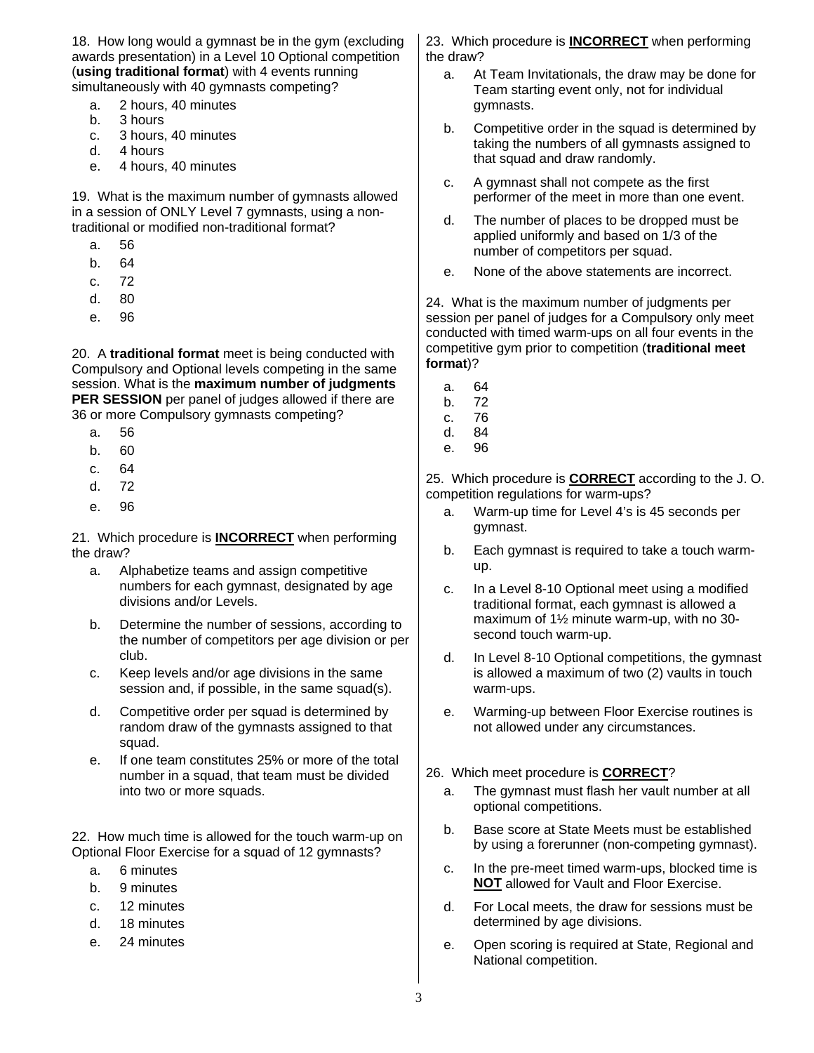18. How long would a gymnast be in the gym (excluding awards presentation) in a Level 10 Optional competition (**using traditional format**) with 4 events running simultaneously with 40 gymnasts competing?

- a. 2 hours, 40 minutes
- b. 3 hours
- c. 3 hours, 40 minutes
- d. 4 hours
- e. 4 hours, 40 minutes

19. What is the maximum number of gymnasts allowed in a session of ONLY Level 7 gymnasts, using a nontraditional or modified non-traditional format?

- a. 56
- b. 64
- c. 72
- d. 80
- e. 96

20. A **traditional format** meet is being conducted with Compulsory and Optional levels competing in the same session. What is the **maximum number of judgments PER SESSION** per panel of judges allowed if there are 36 or more Compulsory gymnasts competing?

- a. 56
- b. 60
- c. 64
- d. 72
- e. 96

21. Which procedure is **INCORRECT** when performing the draw?

- a. Alphabetize teams and assign competitive numbers for each gymnast, designated by age divisions and/or Levels.
- b. Determine the number of sessions, according to the number of competitors per age division or per club.
- c. Keep levels and/or age divisions in the same session and, if possible, in the same squad(s).
- d. Competitive order per squad is determined by random draw of the gymnasts assigned to that squad.
- e. If one team constitutes 25% or more of the total number in a squad, that team must be divided into two or more squads.

22. How much time is allowed for the touch warm-up on Optional Floor Exercise for a squad of 12 gymnasts?

- a. 6 minutes
- b. 9 minutes
- c. 12 minutes
- d. 18 minutes
- e. 24 minutes

23. Which procedure is **INCORRECT** when performing the draw?

- a. At Team Invitationals, the draw may be done for Team starting event only, not for individual gymnasts.
- b. Competitive order in the squad is determined by taking the numbers of all gymnasts assigned to that squad and draw randomly.
- c. A gymnast shall not compete as the first performer of the meet in more than one event.
- d. The number of places to be dropped must be applied uniformly and based on 1/3 of the number of competitors per squad.
- e. None of the above statements are incorrect.

24. What is the maximum number of judgments per session per panel of judges for a Compulsory only meet conducted with timed warm-ups on all four events in the competitive gym prior to competition (**traditional meet format**)?

- a. 64
- b. 72
- c. 76
- d. 84
- e. 96

25. Which procedure is **CORRECT** according to the J. O. competition regulations for warm-ups?

- a. Warm-up time for Level 4's is 45 seconds per gymnast.
- b. Each gymnast is required to take a touch warmup.
- c. In a Level 8-10 Optional meet using a modified traditional format, each gymnast is allowed a maximum of 1½ minute warm-up, with no 30 second touch warm-up.
- d. In Level 8-10 Optional competitions, the gymnast is allowed a maximum of two (2) vaults in touch warm-ups.
- e. Warming-up between Floor Exercise routines is not allowed under any circumstances.

#### 26. Which meet procedure is **CORRECT**?

- a. The gymnast must flash her vault number at all optional competitions.
- b. Base score at State Meets must be established by using a forerunner (non-competing gymnast).
- c. In the pre-meet timed warm-ups, blocked time is **NOT** allowed for Vault and Floor Exercise.
- d. For Local meets, the draw for sessions must be determined by age divisions.
- e. Open scoring is required at State, Regional and National competition.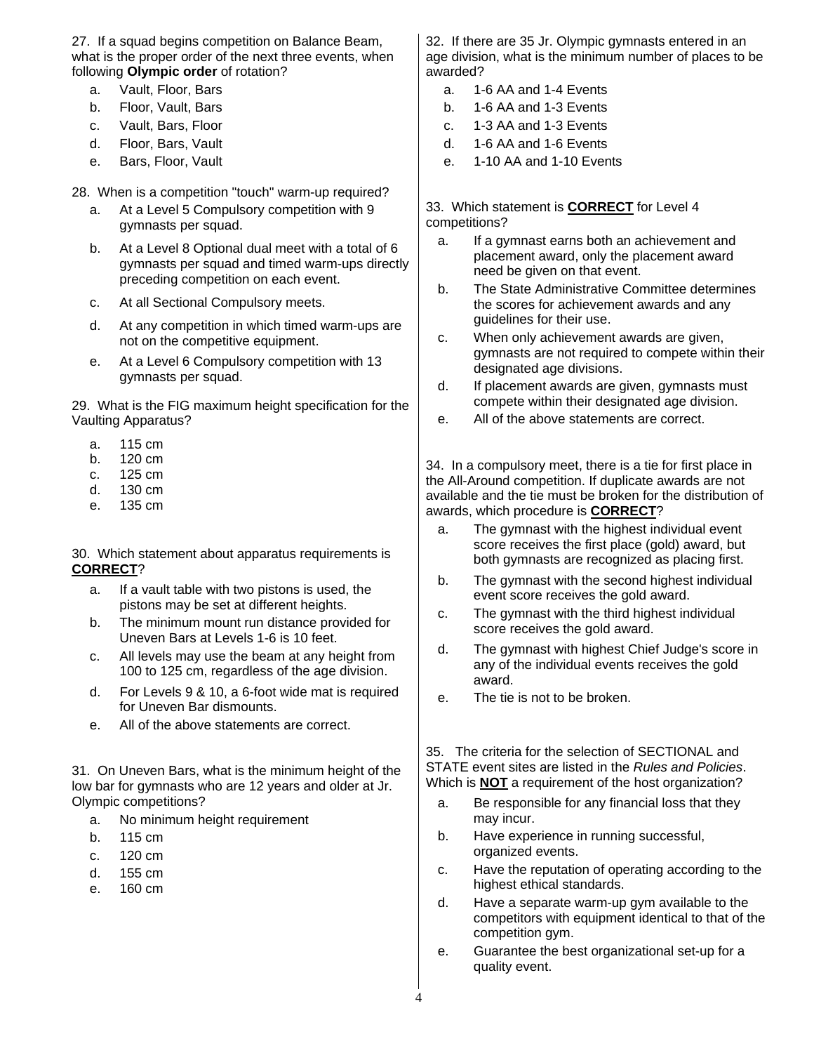27. If a squad begins competition on Balance Beam, what is the proper order of the next three events, when following **Olympic order** of rotation?

- a. Vault, Floor, Bars
- b. Floor, Vault, Bars
- c. Vault, Bars, Floor
- d. Floor, Bars, Vault
- e. Bars, Floor, Vault

28. When is a competition "touch" warm-up required?

- a. At a Level 5 Compulsory competition with 9 gymnasts per squad.
- b. At a Level 8 Optional dual meet with a total of 6 gymnasts per squad and timed warm-ups directly preceding competition on each event.
- c. At all Sectional Compulsory meets.
- d. At any competition in which timed warm-ups are not on the competitive equipment.
- e. At a Level 6 Compulsory competition with 13 gymnasts per squad.

29. What is the FIG maximum height specification for the Vaulting Apparatus?

- a. 115 cm
- b. 120 cm
- c. 125 cm
- d. 130 cm
- e. 135 cm

30. Which statement about apparatus requirements is **CORRECT**?

- a. If a vault table with two pistons is used, the pistons may be set at different heights.
- b. The minimum mount run distance provided for Uneven Bars at Levels 1-6 is 10 feet.
- c. All levels may use the beam at any height from 100 to 125 cm, regardless of the age division.
- d. For Levels 9 & 10, a 6-foot wide mat is required for Uneven Bar dismounts.
- e. All of the above statements are correct.

31. On Uneven Bars, what is the minimum height of the low bar for gymnasts who are 12 years and older at Jr. Olympic competitions?

- a. No minimum height requirement
- b. 115 cm
- c. 120 cm
- d. 155 cm
- e. 160 cm

32. If there are 35 Jr. Olympic gymnasts entered in an age division, what is the minimum number of places to be awarded?

- a. 1-6 AA and 1-4 Events
- b. 1-6 AA and 1-3 Events
- c. 1-3 AA and 1-3 Events
- d. 1-6 AA and 1-6 Events
- e. 1-10 AA and 1-10 Events

33. Which statement is **CORRECT** for Level 4 competitions?

- a. If a gymnast earns both an achievement and placement award, only the placement award need be given on that event.
- b. The State Administrative Committee determines the scores for achievement awards and any guidelines for their use.
- c. When only achievement awards are given, gymnasts are not required to compete within their designated age divisions.
- d. If placement awards are given, gymnasts must compete within their designated age division.
- e. All of the above statements are correct.

34. In a compulsory meet, there is a tie for first place in the All-Around competition. If duplicate awards are not available and the tie must be broken for the distribution of awards, which procedure is **CORRECT**?

- a. The gymnast with the highest individual event score receives the first place (gold) award, but both gymnasts are recognized as placing first.
- b. The gymnast with the second highest individual event score receives the gold award.
- c. The gymnast with the third highest individual score receives the gold award.
- d. The gymnast with highest Chief Judge's score in any of the individual events receives the gold award.
- e. The tie is not to be broken.

35. The criteria for the selection of SECTIONAL and STATE event sites are listed in the *Rules and Policies*. Which is **NOT** a requirement of the host organization?

- a. Be responsible for any financial loss that they may incur.
- b. Have experience in running successful, organized events.
- c. Have the reputation of operating according to the highest ethical standards.
- d. Have a separate warm-up gym available to the competitors with equipment identical to that of the competition gym.
- e. Guarantee the best organizational set-up for a quality event.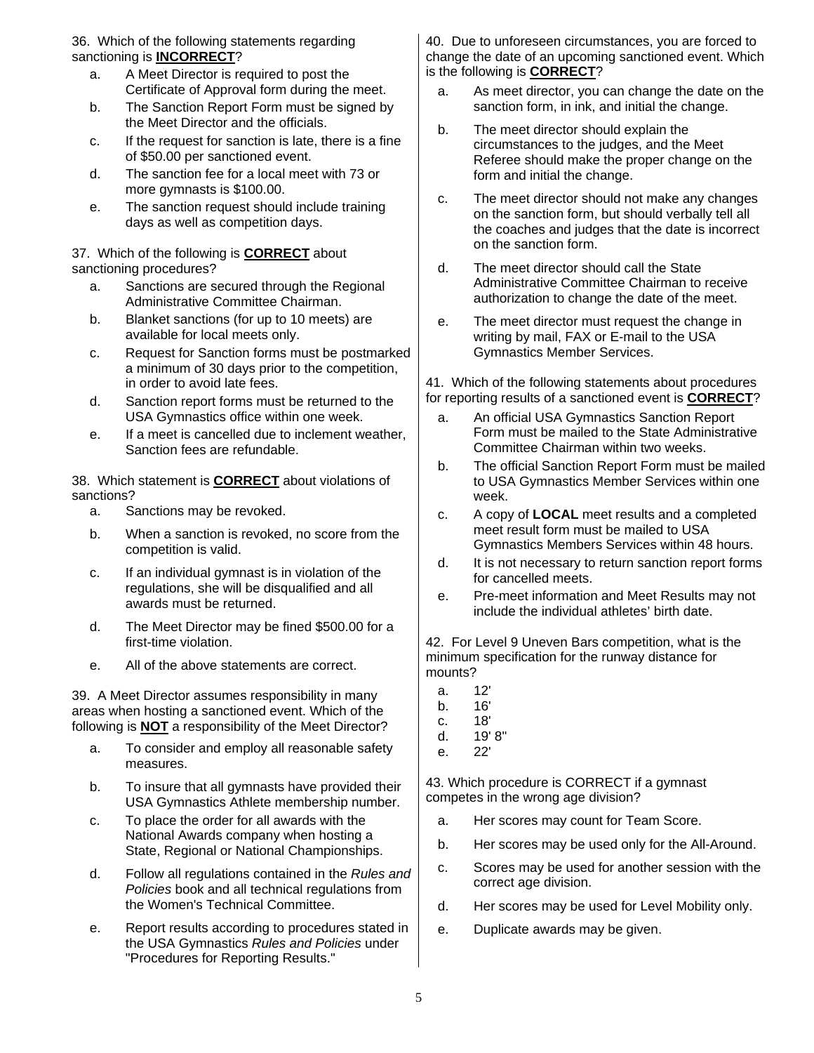36. Which of the following statements regarding sanctioning is **INCORRECT**?

- a. A Meet Director is required to post the Certificate of Approval form during the meet.
- b. The Sanction Report Form must be signed by the Meet Director and the officials.
- c. If the request for sanction is late, there is a fine of \$50.00 per sanctioned event.
- d. The sanction fee for a local meet with 73 or more gymnasts is \$100.00.
- e. The sanction request should include training days as well as competition days.

#### 37. Which of the following is **CORRECT** about sanctioning procedures?

- a. Sanctions are secured through the Regional Administrative Committee Chairman.
- b. Blanket sanctions (for up to 10 meets) are available for local meets only.
- c. Request for Sanction forms must be postmarked a minimum of 30 days prior to the competition, in order to avoid late fees.
- d. Sanction report forms must be returned to the USA Gymnastics office within one week.
- e. If a meet is cancelled due to inclement weather, Sanction fees are refundable.

38. Which statement is **CORRECT** about violations of sanctions?

- a. Sanctions may be revoked.
- b. When a sanction is revoked, no score from the competition is valid.
- c. If an individual gymnast is in violation of the regulations, she will be disqualified and all awards must be returned.
- d. The Meet Director may be fined \$500.00 for a first-time violation.
- e. All of the above statements are correct.

39. A Meet Director assumes responsibility in many areas when hosting a sanctioned event. Which of the following is **NOT** a responsibility of the Meet Director?

- a. To consider and employ all reasonable safety measures.
- b. To insure that all gymnasts have provided their USA Gymnastics Athlete membership number.
- c. To place the order for all awards with the National Awards company when hosting a State, Regional or National Championships.
- d. Follow all regulations contained in the *Rules and Policies* book and all technical regulations from the Women's Technical Committee.
- e. Report results according to procedures stated in the USA Gymnastics *Rules and Policies* under "Procedures for Reporting Results."

40. Due to unforeseen circumstances, you are forced to change the date of an upcoming sanctioned event. Which is the following is **CORRECT**?

- a. As meet director, you can change the date on the sanction form, in ink, and initial the change.
- b. The meet director should explain the circumstances to the judges, and the Meet Referee should make the proper change on the form and initial the change.
- c. The meet director should not make any changes on the sanction form, but should verbally tell all the coaches and judges that the date is incorrect on the sanction form.
- d. The meet director should call the State Administrative Committee Chairman to receive authorization to change the date of the meet.
- e. The meet director must request the change in writing by mail, FAX or E-mail to the USA Gymnastics Member Services.

41. Which of the following statements about procedures for reporting results of a sanctioned event is **CORRECT**?

- a. An official USA Gymnastics Sanction Report Form must be mailed to the State Administrative Committee Chairman within two weeks.
- b. The official Sanction Report Form must be mailed to USA Gymnastics Member Services within one week.
- c. A copy of **LOCAL** meet results and a completed meet result form must be mailed to USA Gymnastics Members Services within 48 hours.
- d. It is not necessary to return sanction report forms for cancelled meets.
- e. Pre-meet information and Meet Results may not include the individual athletes' birth date.

42. For Level 9 Uneven Bars competition, what is the minimum specification for the runway distance for mounts?

- a. 12'
- b. 16'
- c. 18'
- d. 19' 8"
- e. 22'

43. Which procedure is CORRECT if a gymnast competes in the wrong age division?

- a. Her scores may count for Team Score.
- b. Her scores may be used only for the All-Around.
- c. Scores may be used for another session with the correct age division.
- d. Her scores may be used for Level Mobility only.
- e. Duplicate awards may be given.